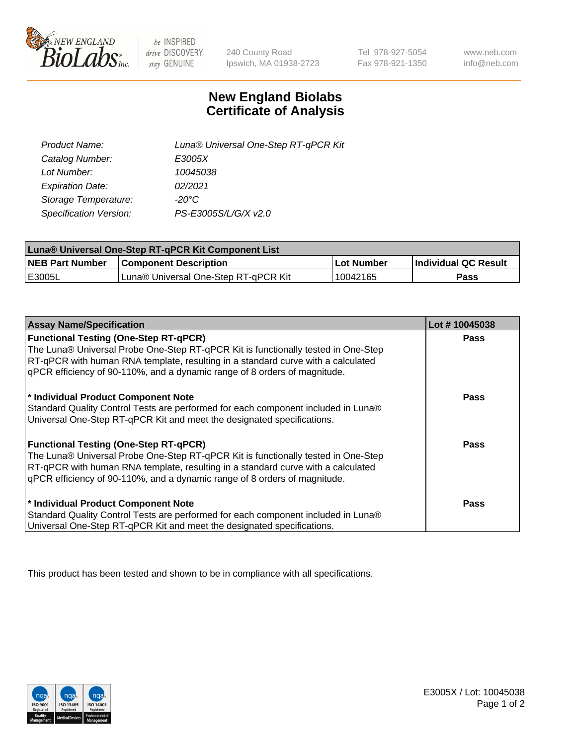

 $be$  INSPIRED drive DISCOVERY stay GENUINE

240 County Road Ipswich, MA 01938-2723 Tel 978-927-5054 Fax 978-921-1350 www.neb.com info@neb.com

## **New England Biolabs Certificate of Analysis**

| Product Name:           | Luna® Universal One-Step RT-qPCR Kit |
|-------------------------|--------------------------------------|
| Catalog Number:         | E3005X                               |
| Lot Number:             | 10045038                             |
| <b>Expiration Date:</b> | 02/2021                              |
| Storage Temperature:    | $-20^{\circ}$ C                      |
| Specification Version:  | PS-E3005S/L/G/X v2.0                 |

| Luna® Universal One-Step RT-qPCR Kit Component List |                                      |            |                             |  |
|-----------------------------------------------------|--------------------------------------|------------|-----------------------------|--|
| <b>NEB Part Number</b>                              | <b>Component Description</b>         | Lot Number | <b>Individual QC Result</b> |  |
| E3005L                                              | Luna® Universal One-Step RT-qPCR Kit | 10042165   | Pass                        |  |

| <b>Assay Name/Specification</b>                                                   | Lot #10045038 |
|-----------------------------------------------------------------------------------|---------------|
| <b>Functional Testing (One-Step RT-qPCR)</b>                                      | <b>Pass</b>   |
| The Luna® Universal Probe One-Step RT-qPCR Kit is functionally tested in One-Step |               |
| RT-qPCR with human RNA template, resulting in a standard curve with a calculated  |               |
| gPCR efficiency of 90-110%, and a dynamic range of 8 orders of magnitude.         |               |
| * Individual Product Component Note                                               | Pass          |
| Standard Quality Control Tests are performed for each component included in Luna® |               |
| Universal One-Step RT-qPCR Kit and meet the designated specifications.            |               |
|                                                                                   |               |
| <b>Functional Testing (One-Step RT-qPCR)</b>                                      | Pass          |
| The Luna® Universal Probe One-Step RT-qPCR Kit is functionally tested in One-Step |               |
| RT-qPCR with human RNA template, resulting in a standard curve with a calculated  |               |
| gPCR efficiency of 90-110%, and a dynamic range of 8 orders of magnitude.         |               |
|                                                                                   |               |
| * Individual Product Component Note                                               | <b>Pass</b>   |
| Standard Quality Control Tests are performed for each component included in Luna® |               |
| Universal One-Step RT-qPCR Kit and meet the designated specifications.            |               |

This product has been tested and shown to be in compliance with all specifications.